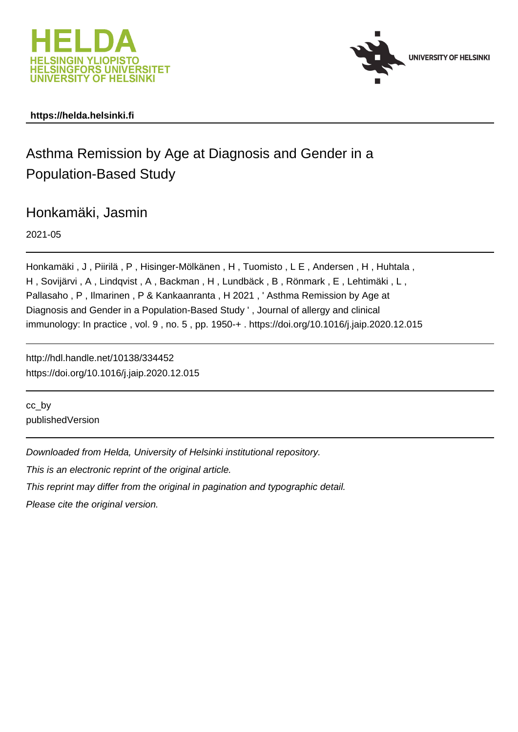



### **https://helda.helsinki.fi**

# Asthma Remission by Age at Diagnosis and Gender in a Population-Based Study

### Honkamäki, Jasmin

2021-05

Honkamäki , J , Piirilä , P , Hisinger-Mölkänen , H , Tuomisto , L E , Andersen , H , Huhtala , H , Sovijärvi , A , Lindqvist , A , Backman , H , Lundbäck , B , Rönmark , E , Lehtimäki , L , Pallasaho , P , Ilmarinen , P & Kankaanranta , H 2021 , ' Asthma Remission by Age at Diagnosis and Gender in a Population-Based Study ' , Journal of allergy and clinical immunology: In practice , vol. 9 , no. 5 , pp. 1950-+ . https://doi.org/10.1016/j.jaip.2020.12.015

http://hdl.handle.net/10138/334452 https://doi.org/10.1016/j.jaip.2020.12.015

cc\_by publishedVersion

Downloaded from Helda, University of Helsinki institutional repository.

This is an electronic reprint of the original article.

This reprint may differ from the original in pagination and typographic detail.

Please cite the original version.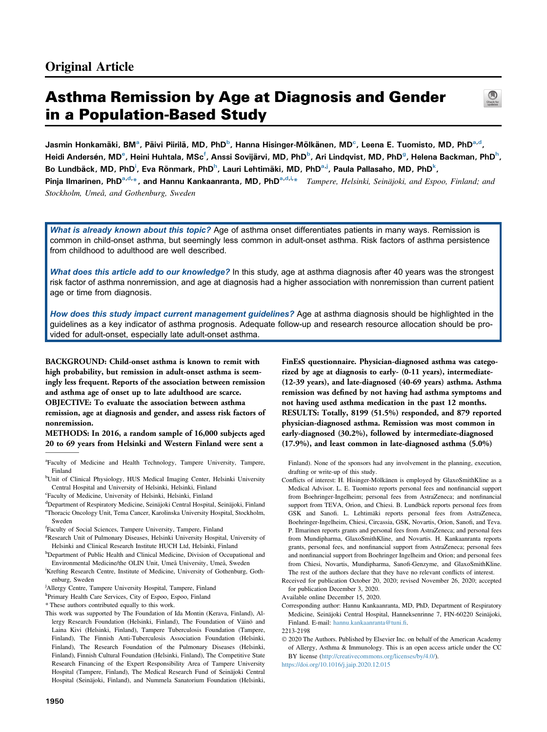## Asthma Remission by Age at Diagnosis and Gender in a Population-Based Study

Jasmin Honkamäki, BMª, Päivi Piirilä, MD, PhD<sup>b</sup>, Hanna Hisinger-Mölkänen, MD<sup>c</sup>, Leena E. Tuomisto, MD, PhD<sup>a,d</sup>, Heidi Andersén, MD<sup>e</sup>, Heini Huhtala, MSc<sup>f</sup>, Anssi Sovijärvi, MD, PhD<sup>b</sup>, Ari Lindqvist, MD, PhD<sup>g</sup>, Helena Backman, PhD<sup>h</sup>, Bo Lundbäck, MD, PhD<sup>i</sup>, Eva Rönmark, PhD<sup>h</sup>, Lauri Lehtimäki, MD, PhD<sup>a,j</sup>, Paula Pallasaho, MD, PhD<sup>k</sup>, Pinja Ilmarinen, PhD<sup>a,d,</sup>\*, and Hannu Kankaanranta, MD, PhD<sup>a,d,i,</sup>\* Tampere, Helsinki, Seinäjoki, and Espoo, Finland; and Stockholm, Umeå, and Gothenburg, Sweden

What is already known about this topic? Age of asthma onset differentiates patients in many ways. Remission is common in child-onset asthma, but seemingly less common in adult-onset asthma. Risk factors of asthma persistence from childhood to adulthood are well described.

What does this article add to our knowledge? In this study, age at asthma diagnosis after 40 years was the strongest risk factor of asthma nonremission, and age at diagnosis had a higher association with nonremission than current patient age or time from diagnosis.

How does this study impact current management guidelines? Age at asthma diagnosis should be highlighted in the guidelines as a key indicator of asthma prognosis. Adequate follow-up and research resource allocation should be provided for adult-onset, especially late adult-onset asthma.

BACKGROUND: Child-onset asthma is known to remit with high probability, but remission in adult-onset asthma is seemingly less frequent. Reports of the association between remission and asthma age of onset up to late adulthood are scarce.

OBJECTIVE: To evaluate the association between asthma remission, age at diagnosis and gender, and assess risk factors of nonremission.

METHODS: In 2016, a random sample of 16,000 subjects aged 20 to 69 years from Helsinki and Western Finland were sent a

- <sup>a</sup>Faculty of Medicine and Health Technology, Tampere University, Tampere, Finland
- <sup>b</sup>Unit of Clinical Physiology, HUS Medical Imaging Center, Helsinki University Central Hospital and University of Helsinki, Helsinki, Finland
- c Faculty of Medicine, University of Helsinki, Helsinki, Finland
- d Department of Respiratory Medicine, Seinäjoki Central Hospital, Seinäjoki, Finland
- e Thoracic Oncology Unit, Tema Cancer, Karolinska University Hospital, Stockholm, Sweden
- f Faculty of Social Sciences, Tampere University, Tampere, Finland
- g Research Unit of Pulmonary Diseases, Helsinki University Hospital, University of Helsinki and Clinical Research Institute HUCH Ltd, Helsinki, Finland
- hDepartment of Public Health and Clinical Medicine, Division of Occupational and Environmental Medicine/the OLIN Unit, Umeå University, Umeå, Sweden
- i Krefting Research Centre, Institute of Medicine, University of Gothenburg, Gothenburg, Sweden
- <sup>j</sup>Allergy Centre, Tampere University Hospital, Tampere, Finland
- k Primary Health Care Services, City of Espoo, Espoo, Finland
- \* These authors contributed equally to this work.
- This work was supported by The Foundation of Ida Montin (Kerava, Finland), Allergy Research Foundation (Helsinki, Finland), The Foundation of Väinö and Laina Kivi (Helsinki, Finland), Tampere Tuberculosis Foundation (Tampere, Finland), The Finnish Anti-Tuberculosis Association Foundation (Helsinki, Finland), The Research Foundation of the Pulmonary Diseases (Helsinki, Finland), Finnish Cultural Foundation (Helsinki, Finland), The Competitive State Research Financing of the Expert Responsibility Area of Tampere University Hospital (Tampere, Finland), The Medical Research Fund of Seinäjoki Central Hospital (Seinäjoki, Finland), and Nummela Sanatorium Foundation (Helsinki,

FinEsS questionnaire. Physician-diagnosed asthma was categorized by age at diagnosis to early- (0-11 years), intermediate- (12-39 years), and late-diagnosed (40-69 years) asthma. Asthma remission was defined by not having had asthma symptoms and not having used asthma medication in the past 12 months. RESULTS: Totally, 8199 (51.5%) responded, and 879 reported physician-diagnosed asthma. Remission was most common in early-diagnosed (30.2%), followed by intermediate-diagnosed (17.9%), and least common in late-diagnosed asthma (5.0%)

Finland). None of the sponsors had any involvement in the planning, execution, drafting or write-up of this study.

- Conflicts of interest: H. Hisinger-Mölkänen is employed by GlaxoSmithKline as a Medical Advisor. L. E. Tuomisto reports personal fees and nonfinancial support from Boehringer-Ingelheim; personal fees from AstraZeneca; and nonfinancial support from TEVA, Orion, and Chiesi. B. Lundbäck reports personal fees from GSK and Sanofi. L. Lehtimäki reports personal fees from AstraZeneca, Boehringer-Ingelheim, Chiesi, Circassia, GSK, Novartis, Orion, Sanofi, and Teva. P. Ilmarinen reports grants and personal fees from AstraZeneca; and personal fees from Mundipharma, GlaxoSmithKline, and Novartis. H. Kankaanranta reports grants, personal fees, and nonfinancial support from AstraZeneca; personal fees and nonfinancial support from Boehringer Ingelheim and Orion; and personal fees from Chiesi, Novartis, Mundipharma, Sanofi-Genzyme, and GlaxoSmithKline. The rest of the authors declare that they have no relevant conflicts of interest.
- Received for publication October 20, 2020; revised November 26, 2020; accepted for publication December 3, 2020.
- Available online December 15, 2020.
- Corresponding author: Hannu Kankaanranta, MD, PhD, Department of Respiratory Medicine, Seinäjoki Central Hospital, Hanneksenrinne 7, FIN-60220 Seinäjoki, Finland. E-mail: [hannu.kankaanranta@tuni.](mailto:hannu.kankaanranta@tuni.fi)fi.
- 2213-2198
- 2020 The Authors. Published by Elsevier Inc. on behalf of the American Academy of Allergy, Asthma & Immunology. This is an open access article under the CC BY license [\(http://creativecommons.org/licenses/by/4.0/](http://creativecommons.org/licenses/by/4.0/)).
- <https://doi.org/10.1016/j.jaip.2020.12.015>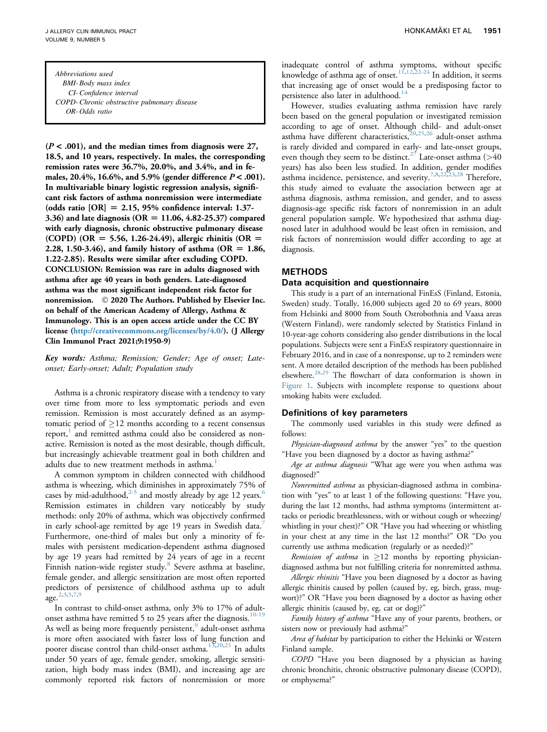Abbreviations used BMI- Body mass index CI- Confidence interval COPD- Chronic obstructive pulmonary disease OR- Odds ratio

 $(P < .001)$ , and the median times from diagnosis were 27, 18.5, and 10 years, respectively. In males, the corresponding remission rates were 36.7%, 20.0%, and 3.4%, and in females, 20.4%, 16.6%, and 5.9% (gender difference  $P < .001$ ). In multivariable binary logistic regression analysis, significant risk factors of asthma nonremission were intermediate (odds ratio  $[OR] = 2.15, 95\%$  confidence interval: 1.37-3.36) and late diagnosis ( $OR = 11.06$ , 4.82-25.37) compared with early diagnosis, chronic obstructive pulmonary disease (COPD) (OR = 5.56, 1.26-24.49), allergic rhinitis (OR = 2.28, 1.50-3.46), and family history of asthma (OR =  $1.86$ , 1.22-2.85). Results were similar after excluding COPD. CONCLUSION: Remission was rare in adults diagnosed with asthma after age 40 years in both genders. Late-diagnosed asthma was the most significant independent risk factor for nonremission.  $\oslash$  2020 The Authors. Published by Elsevier Inc. on behalf of the American Academy of Allergy, Asthma & Immunology. This is an open access article under the CC BY license [\(http://creativecommons.org/licenses/by/4.0/\)](http://creativecommons.org/licenses/by/4.0/). (J Allergy Clin Immunol Pract 2021;9:1950-9)

Key words: Asthma; Remission; Gender; Age of onset; Lateonset; Early-onset; Adult; Population study

Asthma is a chronic respiratory disease with a tendency to vary over time from more to less symptomatic periods and even remission. Remission is most accurately defined as an asymptomatic period of  $\geq$ 12 months according to a recent consensus  $report, 1$  and remitted asthma could also be considered as nonactive. Remission is noted as the most desirable, though difficult, but increasingly achievable treatment goal in both children and adults due to new treatment methods in asthma.<sup>1</sup>

A common symptom in children connected with childhood asthma is wheezing, which diminishes in approximately 75% of cases by mid-adulthood, $2-5$  and mostly already by age 12 years.<sup>6</sup> Remission estimates in children vary noticeably by study methods: only 20% of asthma, which was objectively confirmed in early school-age remitted by age 19 years in Swedish data.<sup>7</sup> Furthermore, one-third of males but only a minority of females with persistent medication-dependent asthma diagnosed by age 19 years had remitted by 24 years of age in a recent Finnish nation-wide register study. $8$  Severe asthma at baseline, female gender, and allergic sensitization are most often reported predictors of persistence of childhood asthma up to adult age.2,3,5,7,9

In contrast to child-onset asthma, only 3% to 17% of adultonset asthma have remitted 5 to 25 years after the diagnosis.<sup>10-19</sup> As well as being more frequently persistent, $9$  adult-onset asthma is more often associated with faster loss of lung function and poorer disease control than child-onset asthma.<sup>13,20,21</sup> In adults under 50 years of age, female gender, smoking, allergic sensitization, high body mass index (BMI), and increasing age are commonly reported risk factors of nonremission or more

inadequate control of asthma symptoms, without specific knowledge of asthma age of onset.  $^{11,12,22-24}$  In addition, it seems that increasing age of onset would be a predisposing factor to persistence also later in adulthood.<sup>14</sup>

However, studies evaluating asthma remission have rarely been based on the general population or investigated remission according to age of onset. Although child- and adult-onset asthma have different characteristics,<sup>20,25,26</sup> adult-onset asthma is rarely divided and compared in early- and late-onset groups, even though they seem to be distinct.<sup>27</sup> Late-onset asthma (>40 years) has also been less studied. In addition, gender modifies asthma incidence, persistence, and severity.<sup>7,8,22,23,28</sup> Therefore, this study aimed to evaluate the association between age at asthma diagnosis, asthma remission, and gender, and to assess diagnosis-age specific risk factors of nonremission in an adult general population sample. We hypothesized that asthma diagnosed later in adulthood would be least often in remission, and risk factors of nonremission would differ according to age at diagnosis.

#### METHODS

#### Data acquisition and questionnaire

This study is a part of an international FinEsS (Finland, Estonia, Sweden) study. Totally, 16,000 subjects aged 20 to 69 years, 8000 from Helsinki and 8000 from South Ostrobothnia and Vaasa areas (Western Finland), were randomly selected by Statistics Finland in 10-year-age cohorts considering also gender distributions in the local populations. Subjects were sent a FinEsS respiratory questionnaire in February 2016, and in case of a nonresponse, up to 2 reminders were sent. A more detailed description of the methods has been published elsewhere.<sup>28,29</sup> The flowchart of data conformation is shown in Figure 1. Subjects with incomplete response to questions about smoking habits were excluded.

#### Definitions of key parameters

The commonly used variables in this study were defined as follows:

Physician-diagnosed asthma by the answer "yes" to the question "Have you been diagnosed by a doctor as having asthma?"

Age at asthma diagnosis "What age were you when asthma was diagnosed?"

Nonremitted asthma as physician-diagnosed asthma in combination with "yes" to at least 1 of the following questions: "Have you, during the last 12 months, had asthma symptoms (intermittent attacks or periodic breathlessness, with or without cough or wheezing/ whistling in your chest)?" OR "Have you had wheezing or whistling in your chest at any time in the last 12 months?" OR "Do you currently use asthma medication (regularly or as needed)?"

Remission of asthma in  $\geq 12$  months by reporting physiciandiagnosed asthma but not fulfilling criteria for nonremitted asthma.

Allergic rhinitis "Have you been diagnosed by a doctor as having allergic rhinitis caused by pollen (caused by, eg, birch, grass, mugwort)?" OR "Have you been diagnosed by a doctor as having other allergic rhinitis (caused by, eg, cat or dog)?"

Family history of asthma "Have any of your parents, brothers, or sisters now or previously had asthma?"

Area of habitat by participation to either the Helsinki or Western Finland sample.

COPD "Have you been diagnosed by a physician as having chronic bronchitis, chronic obstructive pulmonary disease (COPD), or emphysema?"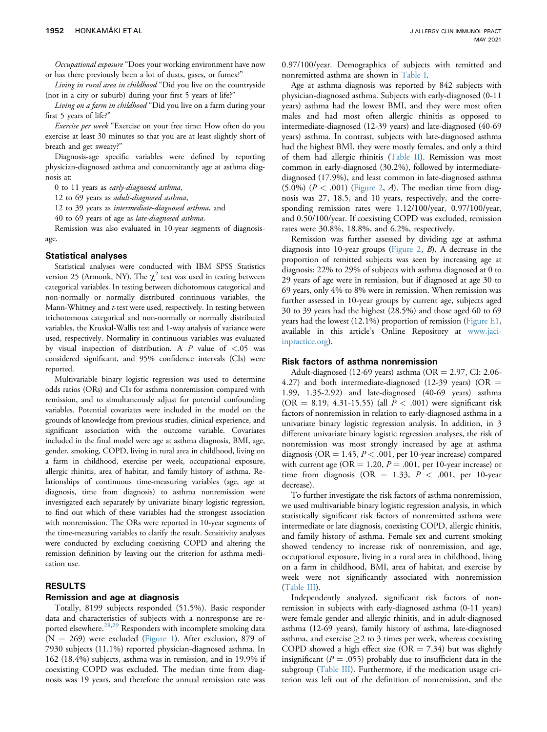Occupational exposure "Does your working environment have now or has there previously been a lot of dusts, gases, or fumes?"

Living in rural area in childhood "Did you live on the countryside (not in a city or suburb) during your first 5 years of life?"

Living on a farm in childhood "Did you live on a farm during your first 5 years of life?"

Exercise per week "Exercise on your free time: How often do you exercise at least 30 minutes so that you are at least slightly short of breath and get sweaty?"

Diagnosis-age specific variables were defined by reporting physician-diagnosed asthma and concomitantly age at asthma diagnosis at:

0 to 11 years as early-diagnosed asthma,

12 to 69 years as adult-diagnosed asthma,

12 to 39 years as intermediate-diagnosed asthma, and

40 to 69 years of age as late-diagnosed asthma.

Remission was also evaluated in 10-year segments of diagnosisage.

#### Statistical analyses

Statistical analyses were conducted with IBM SPSS Statistics version 25 (Armonk, NY). The  $\chi^2$  test was used in testing between categorical variables. In testing between dichotomous categorical and non-normally or normally distributed continuous variables, the Mann-Whitney and *t*-test were used, respectively. In testing between trichotomous categorical and non-normally or normally distributed variables, the Kruskal-Wallis test and 1-way analysis of variance were used, respectively. Normality in continuous variables was evaluated by visual inspection of distribution. A  $P$  value of  $\lt$ .05 was considered significant, and 95% confidence intervals (CIs) were reported.

Multivariable binary logistic regression was used to determine odds ratios (ORs) and CIs for asthma nonremission compared with remission, and to simultaneously adjust for potential confounding variables. Potential covariates were included in the model on the grounds of knowledge from previous studies, clinical experience, and significant association with the outcome variable. Covariates included in the final model were age at asthma diagnosis, BMI, age, gender, smoking, COPD, living in rural area in childhood, living on a farm in childhood, exercise per week, occupational exposure, allergic rhinitis, area of habitat, and family history of asthma. Relationships of continuous time-measuring variables (age, age at diagnosis, time from diagnosis) to asthma nonremission were investigated each separately by univariate binary logistic regression, to find out which of these variables had the strongest association with nonremission. The ORs were reported in 10-year segments of the time-measuring variables to clarify the result. Sensitivity analyses were conducted by excluding coexisting COPD and altering the remission definition by leaving out the criterion for asthma medication use.

#### RESULTS

#### Remission and age at diagnosis

Totally, 8199 subjects responded (51.5%). Basic responder data and characteristics of subjects with a nonresponse are reported elsewhere.<sup>28,29</sup> Responders with incomplete smoking data  $(N = 269)$  were excluded (Figure 1). After exclusion, 879 of 7930 subjects (11.1%) reported physician-diagnosed asthma. In 162 (18.4%) subjects, asthma was in remission, and in 19.9% if coexisting COPD was excluded. The median time from diagnosis was 19 years, and therefore the annual remission rate was

0.97/100/year. Demographics of subjects with remitted and nonremitted asthma are shown in Table I.

Age at asthma diagnosis was reported by 842 subjects with physician-diagnosed asthma. Subjects with early-diagnosed (0-11 years) asthma had the lowest BMI, and they were most often males and had most often allergic rhinitis as opposed to intermediate-diagnosed (12-39 years) and late-diagnosed (40-69 years) asthma. In contrast, subjects with late-diagnosed asthma had the highest BMI, they were mostly females, and only a third of them had allergic rhinitis (Table II). Remission was most common in early-diagnosed (30.2%), followed by intermediatediagnosed (17.9%), and least common in late-diagnosed asthma (5.0%) ( $P < .001$ ) (Figure 2, A). The median time from diagnosis was 27, 18.5, and 10 years, respectively, and the corresponding remission rates were 1.12/100/year, 0.97/100/year, and 0.50/100/year. If coexisting COPD was excluded, remission rates were 30.8%, 18.8%, and 6.2%, respectively.

Remission was further assessed by dividing age at asthma diagnosis into 10-year groups (Figure 2, B). A decrease in the proportion of remitted subjects was seen by increasing age at diagnosis: 22% to 29% of subjects with asthma diagnosed at 0 to 29 years of age were in remission, but if diagnosed at age 30 to 69 years, only 4% to 8% were in remission. When remission was further assessed in 10-year groups by current age, subjects aged 30 to 39 years had the highest (28.5%) and those aged 60 to 69 years had the lowest (12.1%) proportion of remission (Figure E1, available in this article's Online Repository at [www.jaci](http://www.jaci-inpractice.org)[inpractice.org\)](http://www.jaci-inpractice.org).

#### Risk factors of asthma nonremission

Adult-diagnosed (12-69 years) asthma (OR  $=$  2.97, CI: 2.06-4.27) and both intermediate-diagnosed (12-39 years) (OR  $=$ 1.99, 1.35-2.92) and late-diagnosed (40-69 years) asthma (OR = 8.19, 4.31-15.55) (all  $P < .001$ ) were significant risk factors of nonremission in relation to early-diagnosed asthma in a univariate binary logistic regression analysis. In addition, in 3 different univariate binary logistic regression analyses, the risk of nonremission was most strongly increased by age at asthma diagnosis ( $OR = 1.45$ ,  $P < .001$ , per 10-year increase) compared with current age (OR = 1.20,  $P = .001$ , per 10-year increase) or time from diagnosis (OR = 1.33,  $P < .001$ , per 10-year decrease).

To further investigate the risk factors of asthma nonremission, we used multivariable binary logistic regression analysis, in which statistically significant risk factors of nonremitted asthma were intermediate or late diagnosis, coexisting COPD, allergic rhinitis, and family history of asthma. Female sex and current smoking showed tendency to increase risk of nonremission, and age, occupational exposure, living in a rural area in childhood, living on a farm in childhood, BMI, area of habitat, and exercise by week were not significantly associated with nonremission (Table III).

Independently analyzed, significant risk factors of nonremission in subjects with early-diagnosed asthma (0-11 years) were female gender and allergic rhinitis, and in adult-diagnosed asthma (12-69 years), family history of asthma, late-diagnosed asthma, and exercise  $\geq$  to 3 times per week, whereas coexisting COPD showed a high effect size (OR  $= 7.34$ ) but was slightly insignificant ( $P = .055$ ) probably due to insufficient data in the subgroup (Table III). Furthermore, if the medication usage criterion was left out of the definition of nonremission, and the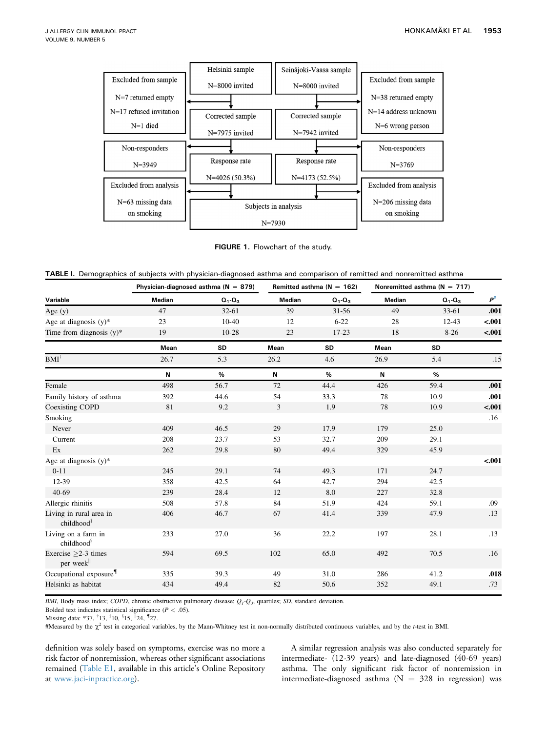

FIGURE 1. Flowchart of the study.

| TABLE I. Demographics of subjects with physician-diagnosed asthma and comparison of remitted and nonremitted asthma |  |
|---------------------------------------------------------------------------------------------------------------------|--|
|---------------------------------------------------------------------------------------------------------------------|--|

|                                          | Physician-diagnosed asthma ( $N = 879$ ) |             | Remitted asthma ( $N = 162$ ) |             | Nonremitted asthma ( $N = 717$ ) |             |          |
|------------------------------------------|------------------------------------------|-------------|-------------------------------|-------------|----------------------------------|-------------|----------|
| Variable                                 | Median                                   | $Q_1 - Q_3$ | Median                        | $Q_1 - Q_3$ | <b>Median</b>                    | $Q_1 - Q_3$ | $P^{\#}$ |
| Age $(y)$                                | 47                                       | $32 - 61$   | 39                            | $31 - 56$   | 49                               | $33 - 61$   | .001     |
| Age at diagnosis $(y)^*$                 | 23                                       | $10-40$     | 12                            | $6 - 22$    | 28                               | $12 - 43$   | $-.001$  |
| Time from diagnosis $(y)^*$              | 19                                       | 10-28       | 23                            | 17-23       | 18                               | $8-26$      | $-.001$  |
|                                          | Mean                                     | SD          | Mean                          | SD          | Mean                             | SD          |          |
| $\text{BMI}^\dagger$                     | 26.7                                     | 5.3         | 26.2                          | 4.6         | 26.9                             | 5.4         | .15      |
|                                          | N                                        | %           | N                             | %           | N                                | %           |          |
| Female                                   | 498                                      | 56.7        | 72                            | 44.4        | 426                              | 59.4        | .001     |
| Family history of asthma                 | 392                                      | 44.6        | 54                            | 33.3        | 78                               | 10.9        | .001     |
| <b>Coexisting COPD</b>                   | 81                                       | 9.2         | $\mathfrak{Z}$                | 1.9         | 78                               | 10.9        | $-.001$  |
| Smoking                                  |                                          |             |                               |             |                                  |             | .16      |
| Never                                    | 409                                      | 46.5        | 29                            | 17.9        | 179                              | 25.0        |          |
| Current                                  | 208                                      | 23.7        | 53                            | 32.7        | 209                              | 29.1        |          |
| Ex                                       | 262                                      | 29.8        | 80                            | 49.4        | 329                              | 45.9        |          |
| Age at diagnosis $(y)^*$                 |                                          |             |                               |             |                                  |             | $-.001$  |
| $0 - 11$                                 | 245                                      | 29.1        | 74                            | 49.3        | 171                              | 24.7        |          |
| 12-39                                    | 358                                      | 42.5        | 64                            | 42.7        | 294                              | 42.5        |          |
| $40 - 69$                                | 239                                      | 28.4        | 12                            | 8.0         | 227                              | 32.8        |          |
| Allergic rhinitis                        | 508                                      | 57.8        | 84                            | 51.9        | 424                              | 59.1        | .09      |
| Living in rural area in<br>childhood $‡$ | 406                                      | 46.7        | 67                            | 41.4        | 339                              | 47.9        | .13      |
| Living on a farm in<br>childhood $\S$    | 233                                      | 27.0        | 36                            | 22.2        | 197                              | 28.1        | .13      |
| Exercise $>2-3$ times<br>per week        | 594                                      | 69.5        | 102                           | 65.0        | 492                              | 70.5        | .16      |
| Occupational exposure                    | 335                                      | 39.3        | 49                            | 31.0        | 286                              | 41.2        | .018     |
| Helsinki as habitat                      | 434                                      | 49.4        | 82                            | 50.6        | 352                              | 49.1        | .73      |
|                                          |                                          |             |                               |             |                                  |             |          |

BMI, Body mass index; COPD, chronic obstructive pulmonary disease;  $Q_1 - Q_3$ , quartiles; SD, standard deviation.

Bolded text indicates statistical significance ( $P < .05$ ).

Missing data: \*37,  $\frac{1}{7}$ 13,  $\frac{1}{7}$ 10,  $\frac{8}{3}$ 15,  $\frac{1}{7}$ 24,  $\frac{4}{7}$ 27.

#Measured by the  $\chi^2$  test in categorical variables, by the Mann-Whitney test in non-normally distributed continuous variables, and by the t-test in BMI.

definition was solely based on symptoms, exercise was no more a risk factor of nonremission, whereas other significant associations remained (Table E1, available in this article's Online Repository at [www.jaci-inpractice.org\)](http://www.jaci-inpractice.org).

A similar regression analysis was also conducted separately for intermediate- (12-39 years) and late-diagnosed (40-69 years) asthma. The only significant risk factor of nonremission in intermediate-diagnosed asthma ( $N = 328$  in regression) was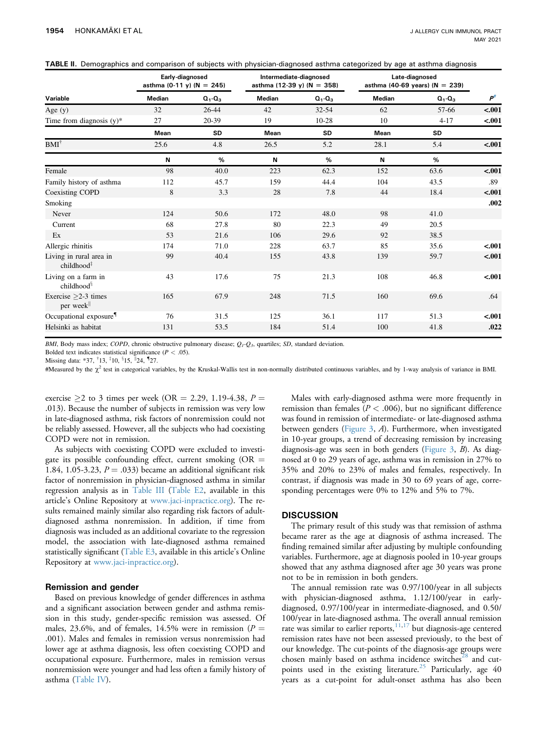| TABLE II. Demographics and comparison of subjects with physician-diagnosed asthma categorized by age at asthma diagnosis |  |  |  |  |  |  |  |
|--------------------------------------------------------------------------------------------------------------------------|--|--|--|--|--|--|--|
|--------------------------------------------------------------------------------------------------------------------------|--|--|--|--|--|--|--|

|                                                 | Early-diagnosed<br>asthma $(0-11 y) (N = 245)$ |             | Intermediate-diagnosed<br>asthma (12-39 y) ( $N = 358$ ) |             | Late-diagnosed<br>asthma (40-69 years) ( $N = 239$ ) |             |                  |
|-------------------------------------------------|------------------------------------------------|-------------|----------------------------------------------------------|-------------|------------------------------------------------------|-------------|------------------|
| Variable                                        | Median                                         | $Q_1 - Q_3$ | Median                                                   | $Q_1 - Q_3$ | Median                                               | $Q_1 - Q_3$ | $P$ <sup>#</sup> |
| Age $(y)$                                       | 32                                             | 26-44       | 42                                                       | 32-54       | 62                                                   | 57-66       | $-.001$          |
| Time from diagnosis $(v)^*$                     | 27                                             | 20-39       | 19                                                       | $10 - 28$   | 10                                                   | $4 - 17$    | $-.001$          |
|                                                 | Mean                                           | <b>SD</b>   | Mean                                                     | SD          | Mean                                                 | SD          |                  |
| $\text{BMI}^\dagger$                            | 25.6                                           | 4.8         | 26.5                                                     | 5.2         | 28.1                                                 | 5.4         | $-.001$          |
|                                                 | N                                              | %           | N                                                        | %           | N                                                    | %           |                  |
| Female                                          | 98                                             | 40.0        | 223                                                      | 62.3        | 152                                                  | 63.6        | $-.001$          |
| Family history of asthma                        | 112                                            | 45.7        | 159                                                      | 44.4        | 104                                                  | 43.5        | .89              |
| Coexisting COPD                                 | 8                                              | 3.3         | 28                                                       | 7.8         | 44                                                   | 18.4        | $-.001$          |
| Smoking                                         |                                                |             |                                                          |             |                                                      |             | .002             |
| Never                                           | 124                                            | 50.6        | 172                                                      | 48.0        | 98                                                   | 41.0        |                  |
| Current                                         | 68                                             | 27.8        | 80                                                       | 22.3        | 49                                                   | 20.5        |                  |
| Ex                                              | 53                                             | 21.6        | 106                                                      | 29.6        | 92                                                   | 38.5        |                  |
| Allergic rhinitis                               | 174                                            | 71.0        | 228                                                      | 63.7        | 85                                                   | 35.6        | $-.001$          |
| Living in rural area in<br>childhood $\ddagger$ | 99                                             | 40.4        | 155                                                      | 43.8        | 139                                                  | 59.7        | $-.001$          |
| Living on a farm in<br>childhood <sup>§</sup>   | 43                                             | 17.6        | 75                                                       | 21.3        | 108                                                  | 46.8        | $-.001$          |
| Exercise $>2-3$ times<br>per week <sup>  </sup> | 165                                            | 67.9        | 248                                                      | 71.5        | 160                                                  | 69.6        | .64              |
| Occupational exposure <sup>1</sup>              | 76                                             | 31.5        | 125                                                      | 36.1        | 117                                                  | 51.3        | $-.001$          |
| Helsinki as habitat                             | 131                                            | 53.5        | 184                                                      | 51.4        | 100                                                  | 41.8        | .022             |

BMI, Body mass index; COPD, chronic obstructive pulmonary disease;  $Q_1$ - $Q_3$ , quartiles; SD, standard deviation.

Bolded text indicates statistical significance ( $P < .05$ ).

Missing data: \*37,  $\frac{1}{7}$ 13,  $\frac{1}{7}$ 10,  $\frac{8}{3}$ 15,  $\frac{1}{7}$ 24,  $\frac{4}{7}$ 27.

#Measured by the  $\chi^2$  test in categorical variables, by the Kruskal-Wallis test in non-normally distributed continuous variables, and by 1-way analysis of variance in BMI.

exercise  $\geq$  to 3 times per week (OR = 2.29, 1.19-4.38, P = .013). Because the number of subjects in remission was very low in late-diagnosed asthma, risk factors of nonremission could not be reliably assessed. However, all the subjects who had coexisting COPD were not in remission.

As subjects with coexisting COPD were excluded to investigate its possible confounding effect, current smoking (OR  $=$ 1.84, 1.05-3.23,  $P = .033$ ) became an additional significant risk factor of nonremission in physician-diagnosed asthma in similar regression analysis as in Table III (Table E2, available in this article's Online Repository at [www.jaci-inpractice.org\)](http://www.jaci-inpractice.org). The results remained mainly similar also regarding risk factors of adultdiagnosed asthma nonremission. In addition, if time from diagnosis was included as an additional covariate to the regression model, the association with late-diagnosed asthma remained statistically significant (Table E3, available in this article's Online Repository at [www.jaci-inpractice.org\)](http://www.jaci-inpractice.org).

#### Remission and gender

Based on previous knowledge of gender differences in asthma and a significant association between gender and asthma remission in this study, gender-specific remission was assessed. Of males, 23.6%, and of females, 14.5% were in remission ( $P =$ .001). Males and females in remission versus nonremission had lower age at asthma diagnosis, less often coexisting COPD and occupational exposure. Furthermore, males in remission versus nonremission were younger and had less often a family history of asthma (Table IV).

Males with early-diagnosed asthma were more frequently in remission than females ( $P < .006$ ), but no significant difference was found in remission of intermediate- or late-diagnosed asthma between genders (Figure 3, A). Furthermore, when investigated in 10-year groups, a trend of decreasing remission by increasing diagnosis-age was seen in both genders (Figure 3, B). As diagnosed at 0 to 29 years of age, asthma was in remission in 27% to 35% and 20% to 23% of males and females, respectively. In contrast, if diagnosis was made in 30 to 69 years of age, corresponding percentages were 0% to 12% and 5% to 7%.

#### **DISCUSSION**

The primary result of this study was that remission of asthma became rarer as the age at diagnosis of asthma increased. The finding remained similar after adjusting by multiple confounding variables. Furthermore, age at diagnosis pooled in 10-year groups showed that any asthma diagnosed after age 30 years was prone not to be in remission in both genders.

The annual remission rate was 0.97/100/year in all subjects with physician-diagnosed asthma, 1.12/100/year in earlydiagnosed, 0.97/100/year in intermediate-diagnosed, and 0.50/ 100/year in late-diagnosed asthma. The overall annual remission rate was similar to earlier reports, $11,17$  but diagnosis-age centered remission rates have not been assessed previously, to the best of our knowledge. The cut-points of the diagnosis-age groups were chosen mainly based on asthma incidence switches $28$  and cutpoints used in the existing literature.<sup>25</sup> Particularly, age  $40$ years as a cut-point for adult-onset asthma has also been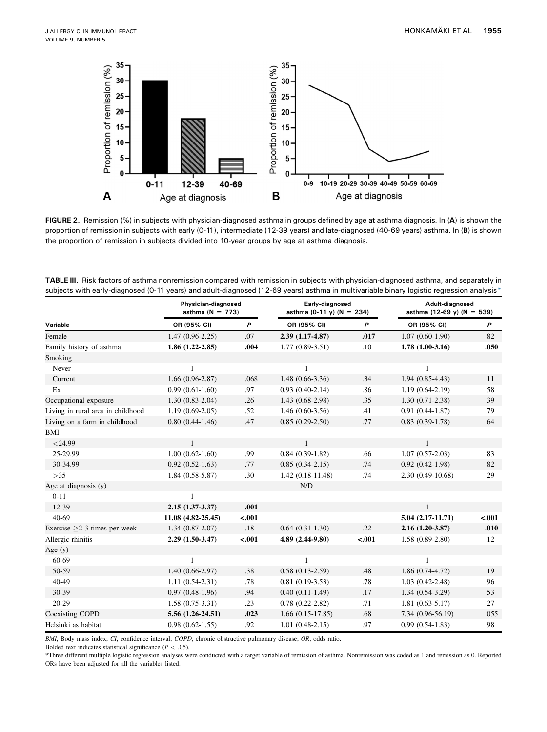

FIGURE 2. Remission (%) in subjects with physician-diagnosed asthma in groups defined by age at asthma diagnosis. In (A) is shown the proportion of remission in subjects with early (0-11), intermediate (12-39 years) and late-diagnosed (40-69 years) asthma. In (B) is shown the proportion of remission in subjects divided into 10-year groups by age at asthma diagnosis.

| TABLE III. Risk factors of asthma nonremission compared with remission in subjects with physician-diagnosed asthma, and separately in      |  |  |  |
|--------------------------------------------------------------------------------------------------------------------------------------------|--|--|--|
| subjects with early-diagnosed (0-11 years) and adult-diagnosed (12-69 years) asthma in multivariable binary logistic regression analysis * |  |  |  |

|                                   | Physician-diagnosed<br>asthma ( $N = 773$ ) |         | Early-diagnosed<br>asthma (0-11 y) ( $N = 234$ ) |         | Adult-diagnosed<br>asthma (12-69 y) ( $N = 539$ ) |         |  |
|-----------------------------------|---------------------------------------------|---------|--------------------------------------------------|---------|---------------------------------------------------|---------|--|
| Variable                          | OR (95% CI)                                 | P       | OR (95% CI)                                      | P       | OR (95% CI)                                       | P       |  |
| Female                            | $1.47(0.96-2.25)$                           | .07     | $2.39(1.17-4.87)$                                | .017    | $1.07(0.60-1.90)$                                 | .82     |  |
| Family history of asthma          | $1.86(1.22-2.85)$                           | .004    | $1.77(0.89-3.51)$                                | .10     | $1.78(1.00-3.16)$                                 | .050    |  |
| Smoking                           |                                             |         |                                                  |         |                                                   |         |  |
| Never                             | $\mathbf{1}$                                |         | 1                                                |         | $\mathbf{1}$                                      |         |  |
| Current                           | $1.66(0.96-2.87)$                           | .068    | 1.48 (0.66-3.36)                                 | .34     | $1.94(0.85-4.43)$                                 | .11     |  |
| Ex                                | $0.99(0.61-1.60)$                           | .97     | $0.93(0.40-2.14)$                                | .86     | $1.19(0.64-2.19)$                                 | .58     |  |
| Occupational exposure             | $1.30(0.83-2.04)$                           | .26     | $1.43(0.68-2.98)$                                | .35     | $1.30(0.71-2.38)$                                 | .39     |  |
| Living in rural area in childhood | $1.19(0.69-2.05)$                           | .52     | $1.46(0.60-3.56)$                                | .41     | $0.91(0.44-1.87)$                                 | .79     |  |
| Living on a farm in childhood     | $0.80(0.44-1.46)$                           | .47     | $0.85(0.29-2.50)$                                | .77     | $0.83(0.39-1.78)$                                 | .64     |  |
| BMI                               |                                             |         |                                                  |         |                                                   |         |  |
| $<$ 24.99                         | $\mathbf{1}$                                |         | $\mathbf{1}$                                     |         | $\mathbf{1}$                                      |         |  |
| 25-29.99                          | $1.00(0.62 - 1.60)$                         | .99     | $0.84(0.39-1.82)$                                | .66     | $1.07(0.57-2.03)$                                 | .83     |  |
| 30-34.99                          | $0.92(0.52-1.63)$                           | .77     | $0.85(0.34-2.15)$                                | .74     | $0.92(0.42-1.98)$                                 | .82     |  |
| $>35$                             | $1.84(0.58-5.87)$                           | .30     | $1.42(0.18-11.48)$                               | .74     | 2.30 (0.49-10.68)                                 | .29     |  |
| Age at diagnosis (y)              |                                             |         | N/D                                              |         |                                                   |         |  |
| $0 - 11$                          | $\mathbf{1}$                                |         |                                                  |         |                                                   |         |  |
| 12-39                             | $2.15(1.37-3.37)$                           | .001    |                                                  |         | $\mathbf{1}$                                      |         |  |
| $40 - 69$                         | 11.08 (4.82-25.45)                          | $-.001$ |                                                  |         | 5.04 (2.17-11.71)                                 | $-.001$ |  |
| Exercise $>2-3$ times per week    | $1.34(0.87-2.07)$                           | .18     | $0.64(0.31-1.30)$                                | .22     | 2.16 (1.20-3.87)                                  | .010    |  |
| Allergic rhinitis                 | $2.29(1.50-3.47)$                           | $-.001$ | $4.89(2.44-9.80)$                                | $-.001$ | $1.58(0.89-2.80)$                                 | .12     |  |
| Age $(y)$                         |                                             |         |                                                  |         |                                                   |         |  |
| 60-69                             | 1                                           |         | 1                                                |         | -1                                                |         |  |
| 50-59                             | $1.40(0.66-2.97)$                           | .38     | $0.58(0.13-2.59)$                                | .48     | $1.86(0.74-4.72)$                                 | .19     |  |
| 40-49                             | $1.11(0.54-2.31)$                           | .78     | $0.81(0.19-3.53)$                                | .78     | $1.03(0.42 - 2.48)$                               | .96     |  |
| 30-39                             | $0.97(0.48-1.96)$                           | .94     | $0.40(0.11-1.49)$                                | .17     | $1.34(0.54-3.29)$                                 | .53     |  |
| 20-29                             | $1.58(0.75-3.31)$                           | .23     | $0.78(0.22 - 2.82)$                              | .71     | $1.81(0.63-5.17)$                                 | .27     |  |
| Coexisting COPD                   | 5.56 (1.26-24.51)                           | .023    | $1.66(0.15-17.85)$                               | .68     | 7.34 (0.96-56.19)                                 | .055    |  |
| Helsinki as habitat               | $0.98(0.62 - 1.55)$                         | .92     | $1.01(0.48-2.15)$                                | .97     | $0.99(0.54-1.83)$                                 | .98     |  |

BMI, Body mass index; CI, confidence interval; COPD, chronic obstructive pulmonary disease; OR, odds ratio.

Bolded text indicates statistical significance ( $P < .05$ ).

\*Three different multiple logistic regression analyses were conducted with a target variable of remission of asthma. Nonremission was coded as 1 and remission as 0. Reported ORs have been adjusted for all the variables listed.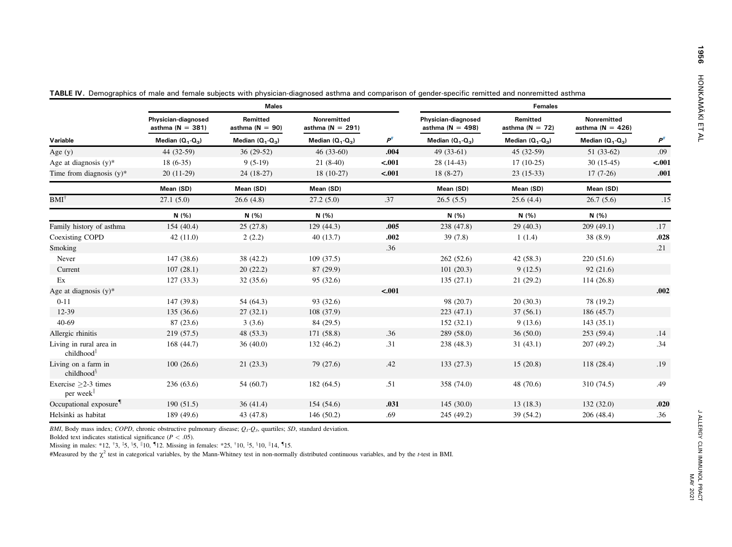|                                                    |                                             | <b>Males</b>                    |                                     | <b>Females</b>   |                                             |                                 |                                            |         |
|----------------------------------------------------|---------------------------------------------|---------------------------------|-------------------------------------|------------------|---------------------------------------------|---------------------------------|--------------------------------------------|---------|
|                                                    | Physician-diagnosed<br>asthma ( $N = 381$ ) | Remitted<br>asthma ( $N = 90$ ) | Nonremitted<br>asthma ( $N = 291$ ) |                  | Physician-diagnosed<br>asthma ( $N = 498$ ) | Remitted<br>asthma ( $N = 72$ ) | <b>Nonremitted</b><br>asthma ( $N = 426$ ) |         |
| Variable                                           | Median $(Q_1-Q_3)$                          | Median $(Q_1-Q_3)$              | Median $(Q_1-Q_3)$                  | $P$ <sup>#</sup> | Median $(Q_1-Q_3)$                          | Median $(Q_1-Q_3)$              | Median $(Q_1-Q_3)$                         | $P^{#}$ |
| Age $(y)$                                          | 44 (32-59)                                  | $36(29-52)$                     | $46(33-60)$                         | .004             | 49 $(33-61)$                                | 45 (32-59)                      | $51(33-62)$                                | .09     |
| Age at diagnosis (y)*                              | $18(6-35)$                                  | $9(5-19)$                       | $21(8-40)$                          | $-.001$          | $28(14-43)$                                 | $17(10-25)$                     | $30(15-45)$                                | $-.001$ |
| Time from diagnosis $(y)^*$                        | $20(11-29)$                                 | $24(18-27)$                     | 18 (10-27)                          | $-.001$          | $18(8-27)$                                  | $23(15-33)$                     | $17(7-26)$                                 | .001    |
|                                                    | Mean (SD)                                   | Mean (SD)                       | Mean (SD)                           |                  | Mean (SD)                                   | Mean (SD)                       | Mean (SD)                                  |         |
| $\text{BMI}^\dagger$                               | 27.1(5.0)                                   | 26.6(4.8)                       | 27.2(5.0)                           | .37              | 26.5(5.5)                                   | 25.6(4.4)                       | 26.7(5.6)                                  | .15     |
|                                                    | N(% )                                       | N(% )                           | N(% )                               |                  | N(% )                                       | N(% )                           | N(% )                                      |         |
| Family history of asthma                           | 154 (40.4)                                  | 25(27.8)                        | 129 (44.3)                          | .005             | 238 (47.8)                                  | 29(40.3)                        | 209(49.1)                                  | .17     |
| Coexisting COPD                                    | 42(11.0)                                    | 2(2.2)                          | 40(13.7)                            | .002             | 39(7.8)                                     | 1(1.4)                          | 38(8.9)                                    | .028    |
| Smoking                                            |                                             |                                 |                                     | .36              |                                             |                                 |                                            | .21     |
| Never                                              | 147 (38.6)                                  | 38 (42.2)                       | 109(37.5)                           |                  | 262(52.6)                                   | 42(58.3)                        | 220(51.6)                                  |         |
| Current                                            | 107(28.1)                                   | 20(22.2)                        | 87 (29.9)                           |                  | 101(20.3)                                   | 9(12.5)                         | 92(21.6)                                   |         |
| Ex                                                 | 127(33.3)                                   | 32(35.6)                        | 95 (32.6)                           |                  | 135(27.1)                                   | 21(29.2)                        | 114 (26.8)                                 |         |
| Age at diagnosis $(y)^*$                           |                                             |                                 |                                     | $-.001$          |                                             |                                 |                                            | .002    |
| $0 - 11$                                           | 147 (39.8)                                  | 54 (64.3)                       | 93 (32.6)                           |                  | 98 (20.7)                                   | 20(30.3)                        | 78 (19.2)                                  |         |
| 12-39                                              | 135 (36.6)                                  | 27(32.1)                        | 108 (37.9)                          |                  | 223(47.1)                                   | 37(56.1)                        | 186 (45.7)                                 |         |
| $40-69$                                            | 87(23.6)                                    | 3(3.6)                          | 84 (29.5)                           |                  | 152(32.1)                                   | 9(13.6)                         | 143(35.1)                                  |         |
| Allergic rhinitis                                  | 219(57.5)                                   | 48 (53.3)                       | 171 (58.8)                          | .36              | 289(58.0)                                   | 36(50.0)                        | 253(59.4)                                  | .14     |
| Living in rural area in<br>childhood $^{\ddagger}$ | 168 (44.7)                                  | 36(40.0)                        | 132 (46.2)                          | .31              | 238(48.3)                                   | 31(43.1)                        | 207(49.2)                                  | .34     |
| Living on a farm in<br>childhood <sup>§</sup>      | 100(26.6)                                   | 21(23.3)                        | 79 (27.6)                           | .42              | 133(27.3)                                   | 15(20.8)                        | 118 (28.4)                                 | .19     |
| Exercise $>2-3$ times<br>per week                  | 236 (63.6)                                  | 54 (60.7)                       | 182 (64.5)                          | .51              | 358 (74.0)                                  | 48 (70.6)                       | 310 (74.5)                                 | .49     |
| Occupational exposure <sup>¶</sup>                 | 190(51.5)                                   | 36(41.4)                        | 154 (54.6)                          | .031             | 145(30.0)                                   | 13(18.3)                        | 132 (32.0)                                 | .020    |
| Helsinki as habitat                                | 189 (49.6)                                  | 43 (47.8)                       | 146 (50.2)                          | .69              | 245 (49.2)                                  | 39 (54.2)                       | 206 (48.4)                                 | .36     |

 $T$ . Demographics of male and female subjects with physician-diagnosed asthma and comparison of gender-specific remitted and nonremitted asthma

BMI, Body mass index; COPD, chronic obstructive pulmonary disease;  $Q_1$ - $Q_3$ , quartiles; SD, standard deviation.

Bolded text indicates statistical significance ( $P < .05$ ).

Missing in males: \*12,  $\frac{1}{3}$ ,  $\frac{1}{5}$ ,  $\frac{5}{9}$ ,  $\frac{1}{10}$ ,  $\frac{1}{12}$ . Missing in females: \*25,  $\frac{1}{10}$ ,  $\frac{1}{5}$ ,  $\frac{5}{10}$ ,  $\frac{1}{14}$ ,  $\frac{1}{15}$ .

#Measured by the  $\chi^2$  test in categorical variables, by the Mann-Whitney test in non-normally distributed continuous variables, and by the t-test in BMI.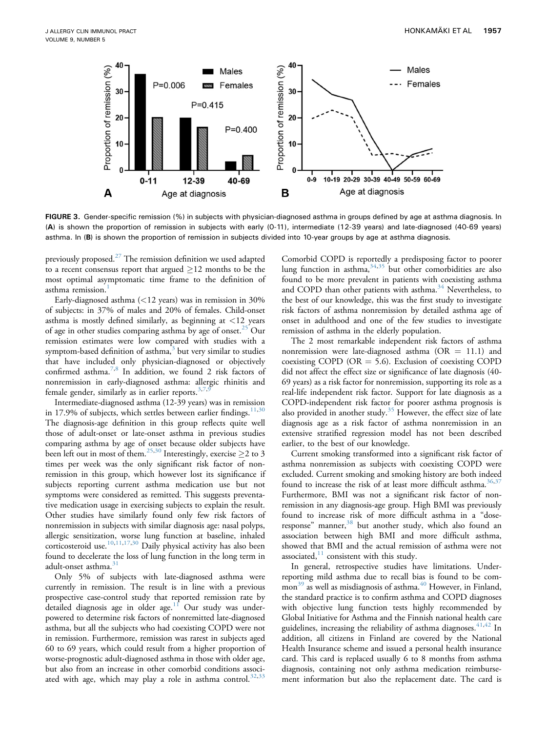

FIGURE 3. Gender-specific remission (%) in subjects with physician-diagnosed asthma in groups defined by age at asthma diagnosis. In (A) is shown the proportion of remission in subjects with early (0-11), intermediate (12-39 years) and late-diagnosed (40-69 years) asthma. In (B) is shown the proportion of remission in subjects divided into 10-year groups by age at asthma diagnosis.

previously proposed. $^{27}$  The remission definition we used adapted to a recent consensus report that argued  $\geq$ 12 months to be the most optimal asymptomatic time frame to the definition of asthma remission.<sup>1</sup>

Early-diagnosed asthma (<12 years) was in remission in 30% of subjects: in 37% of males and 20% of females. Child-onset asthma is mostly defined similarly, as beginning at <12 years of age in other studies comparing asthma by age of onset.<sup>25</sup> Our remission estimates were low compared with studies with a symptom-based definition of asthma, $3$  but very similar to studies that have included only physician-diagnosed or objectively confirmed asthma.<sup>7,8</sup> In addition, we found 2 risk factors of nonremission in early-diagnosed asthma: allergic rhinitis and female gender, similarly as in earlier reports. $3/2$ 

Intermediate-diagnosed asthma (12-39 years) was in remission in 17.9% of subjects, which settles between earlier findings. $11,30$ The diagnosis-age definition in this group reflects quite well those of adult-onset or late-onset asthma in previous studies comparing asthma by age of onset because older subjects have been left out in most of them.<sup>25,30</sup> Interestingly, exercise  $\geq 2$  to 3 times per week was the only significant risk factor of nonremission in this group, which however lost its significance if subjects reporting current asthma medication use but not symptoms were considered as remitted. This suggests preventative medication usage in exercising subjects to explain the result. Other studies have similarly found only few risk factors of nonremission in subjects with similar diagnosis age: nasal polyps, allergic sensitization, worse lung function at baseline, inhaled corticosteroid use.<sup>10,11,17,30</sup> Daily physical activity has also been found to decelerate the loss of lung function in the long term in adult-onset asthma.<sup>3</sup>

Only 5% of subjects with late-diagnosed asthma were currently in remission. The result is in line with a previous prospective case-control study that reported remission rate by detailed diagnosis age in older age.<sup>11</sup> Our study was underpowered to determine risk factors of nonremitted late-diagnosed asthma, but all the subjects who had coexisting COPD were not in remission. Furthermore, remission was rarest in subjects aged 60 to 69 years, which could result from a higher proportion of worse-prognostic adult-diagnosed asthma in those with older age, but also from an increase in other comorbid conditions associated with age, which may play a role in asthma control.<sup>32,33</sup>

Comorbid COPD is reportedly a predisposing factor to poorer lung function in asthma, $34,35$  but other comorbidities are also found to be more prevalent in patients with coexisting asthma and COPD than other patients with asthma.<sup>34</sup> Nevertheless, to the best of our knowledge, this was the first study to investigate risk factors of asthma nonremission by detailed asthma age of onset in adulthood and one of the few studies to investigate remission of asthma in the elderly population.

The 2 most remarkable independent risk factors of asthma nonremission were late-diagnosed asthma ( $OR = 11.1$ ) and coexisting COPD ( $OR = 5.6$ ). Exclusion of coexisting COPD did not affect the effect size or significance of late diagnosis (40- 69 years) as a risk factor for nonremission, supporting its role as a real-life independent risk factor. Support for late diagnosis as a COPD-independent risk factor for poorer asthma prognosis is also provided in another study. $35$  However, the effect size of late diagnosis age as a risk factor of asthma nonremission in an extensive stratified regression model has not been described earlier, to the best of our knowledge.

Current smoking transformed into a significant risk factor of asthma nonremission as subjects with coexisting COPD were excluded. Current smoking and smoking history are both indeed found to increase the risk of at least more difficult asthma. $36,37$ Furthermore, BMI was not a significant risk factor of nonremission in any diagnosis-age group. High BMI was previously found to increase risk of more difficult asthma in a "doseresponse" manner,<sup>38</sup> but another study, which also found an association between high BMI and more difficult asthma, showed that BMI and the actual remission of asthma were not associated, $11$  consistent with this study.

In general, retrospective studies have limitations. Underreporting mild asthma due to recall bias is found to be common<sup>39</sup> as well as misdiagnosis of asthma.<sup>40</sup> However, in Finland, the standard practice is to confirm asthma and COPD diagnoses with objective lung function tests highly recommended by Global Initiative for Asthma and the Finnish national health care guidelines, increasing the reliability of asthma diagnoses.  $41,42$  In addition, all citizens in Finland are covered by the National Health Insurance scheme and issued a personal health insurance card. This card is replaced usually 6 to 8 months from asthma diagnosis, containing not only asthma medication reimbursement information but also the replacement date. The card is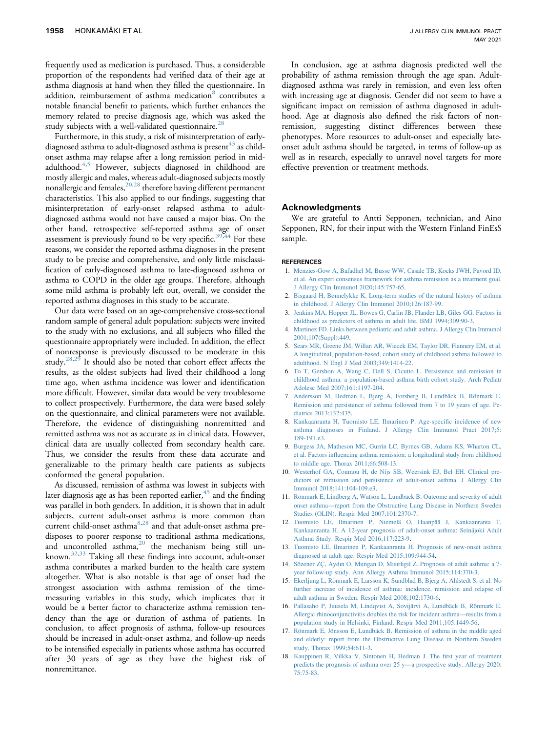frequently used as medication is purchased. Thus, a considerable proportion of the respondents had verified data of their age at asthma diagnosis at hand when they filled the questionnaire. In addition, reimbursement of asthma medication<sup>8</sup> contributes a notable financial benefit to patients, which further enhances the memory related to precise diagnosis age, which was asked the study subjects with a well-validated questionnaire.<sup>28</sup>

Furthermore, in this study, a risk of misinterpretation of earlydiagnosed asthma to adult-diagnosed asthma is present<sup>43</sup> as childonset asthma may relapse after a long remission period in midadulthood.<sup>4,5</sup> However, subjects diagnosed in childhood are mostly allergic and males, whereas adult-diagnosed subjects mostly nonallergic and females,<sup>20,28</sup> therefore having different permanent characteristics. This also applied to our findings, suggesting that misinterpretation of early-onset relapsed asthma to adultdiagnosed asthma would not have caused a major bias. On the other hand, retrospective self-reported asthma age of onset assessment is previously found to be very specific.<sup>39,44</sup> For these reasons, we consider the reported asthma diagnoses in the present study to be precise and comprehensive, and only little misclassification of early-diagnosed asthma to late-diagnosed asthma or asthma to COPD in the older age groups. Therefore, although some mild asthma is probably left out, overall, we consider the reported asthma diagnoses in this study to be accurate.

Our data were based on an age-comprehensive cross-sectional random sample of general adult population: subjects were invited to the study with no exclusions, and all subjects who filled the questionnaire appropriately were included. In addition, the effect of nonresponse is previously discussed to be moderate in this study. $28,29$  It should also be noted that cohort effect affects the results, as the oldest subjects had lived their childhood a long time ago, when asthma incidence was lower and identification more difficult. However, similar data would be very troublesome to collect prospectively. Furthermore, the data were based solely on the questionnaire, and clinical parameters were not available. Therefore, the evidence of distinguishing nonremitted and remitted asthma was not as accurate as in clinical data. However, clinical data are usually collected from secondary health care. Thus, we consider the results from these data accurate and generalizable to the primary health care patients as subjects conformed the general population.

As discussed, remission of asthma was lowest in subjects with later diagnosis age as has been reported earlier, $45$  and the finding was parallel in both genders. In addition, it is shown that in adult subjects, current adult-onset asthma is more common than current child-onset asthma $8,28$  and that adult-onset asthma predisposes to poorer response to traditional asthma medications, and uncontrolled asthma,<sup>20</sup> the mechanism being still unknown.32,33 Taking all these findings into account, adult-onset asthma contributes a marked burden to the health care system altogether. What is also notable is that age of onset had the strongest association with asthma remission of the timemeasuring variables in this study, which implicates that it would be a better factor to characterize asthma remission tendency than the age or duration of asthma of patients. In conclusion, to affect prognosis of asthma, follow-up resources should be increased in adult-onset asthma, and follow-up needs to be intensified especially in patients whose asthma has occurred after 30 years of age as they have the highest risk of nonremittance.

In conclusion, age at asthma diagnosis predicted well the probability of asthma remission through the age span. Adultdiagnosed asthma was rarely in remission, and even less often with increasing age at diagnosis. Gender did not seem to have a significant impact on remission of asthma diagnosed in adulthood. Age at diagnosis also defined the risk factors of nonremission, suggesting distinct differences between these phenotypes. More resources to adult-onset and especially lateonset adult asthma should be targeted, in terms of follow-up as well as in research, especially to unravel novel targets for more effective prevention or treatment methods.

#### Acknowledgments

We are grateful to Antti Sepponen, technician, and Aino Sepponen, RN, for their input with the Western Finland FinEsS sample.

#### **REFERENCES**

- 1. [Menzies-Gow A, Bafadhel M, Busse WW, Casale TB, Kocks JWH, Pavord ID,](http://refhub.elsevier.com/S2213-2198(20)31347-7/sref1) [et al. An expert consensus framework for asthma remission as a treatment goal.](http://refhub.elsevier.com/S2213-2198(20)31347-7/sref1) [J Allergy Clin Immunol 2020;145:757-65](http://refhub.elsevier.com/S2213-2198(20)31347-7/sref1).
- 2. [Bisgaard H, Bønnelykke K. Long-term studies of the natural history of asthma](http://refhub.elsevier.com/S2213-2198(20)31347-7/sref2) [in childhood. J Allergy Clin Immunol 2010;126:187-99.](http://refhub.elsevier.com/S2213-2198(20)31347-7/sref2)
- 3. [Jenkins MA, Hopper JL, Bowes G, Carlin JB, Flander LB, Giles GG. Factors in](http://refhub.elsevier.com/S2213-2198(20)31347-7/sref3) [childhood as predictors of asthma in adult life. BMJ 1994;309:90-3.](http://refhub.elsevier.com/S2213-2198(20)31347-7/sref3)
- 4. [Martinez FD. Links between pediatric and adult asthma. J Allergy Clin Immunol](http://refhub.elsevier.com/S2213-2198(20)31347-7/sref4) [2001;107\(Suppl\):449.](http://refhub.elsevier.com/S2213-2198(20)31347-7/sref4)
- 5. [Sears MR, Greene JM, Willan AR, Wiecek EM, Taylor DR, Flannery EM, et al.](http://refhub.elsevier.com/S2213-2198(20)31347-7/sref5) [A longitudinal, population-based, cohort study of childhood asthma followed to](http://refhub.elsevier.com/S2213-2198(20)31347-7/sref5) [adulthood. N Engl J Med 2003;349:1414-22](http://refhub.elsevier.com/S2213-2198(20)31347-7/sref5).
- 6. [To T, Gershon A, Wang C, Dell S, Cicutto L. Persistence and remission in](http://refhub.elsevier.com/S2213-2198(20)31347-7/sref6) [childhood asthma: a population-based asthma birth cohort study. Arch Pediatr](http://refhub.elsevier.com/S2213-2198(20)31347-7/sref6) [Adolesc Med 2007;161:1197-204](http://refhub.elsevier.com/S2213-2198(20)31347-7/sref6).
- 7. [Andersson M, Hedman L, Bjerg A, Forsberg B, Lundbäck B, Rönmark E.](http://refhub.elsevier.com/S2213-2198(20)31347-7/sref7) [Remission and persistence of asthma followed from 7 to 19 years of age. Pe](http://refhub.elsevier.com/S2213-2198(20)31347-7/sref7)[diatrics 2013;132:435](http://refhub.elsevier.com/S2213-2198(20)31347-7/sref7).
- 8. Kankaanranta H, Tuomisto [LE, Ilmarinen P. Age-speci](http://refhub.elsevier.com/S2213-2198(20)31347-7/sref8)fic incidence of new [asthma diagnoses in Finland. J Allergy Clin Immunol Pract 2017;5:](http://refhub.elsevier.com/S2213-2198(20)31347-7/sref8) [189-191.e3.](http://refhub.elsevier.com/S2213-2198(20)31347-7/sref8)
- 9. [Burgess JA, Matheson MC, Gurrin LC, Byrnes GB, Adams KS, Wharton CL,](http://refhub.elsevier.com/S2213-2198(20)31347-7/sref9) et al. Factors infl[uencing asthma remission: a longitudinal study from childhood](http://refhub.elsevier.com/S2213-2198(20)31347-7/sref9) [to middle age. Thorax 2011;66:508-13.](http://refhub.elsevier.com/S2213-2198(20)31347-7/sref9)
- 10. [Westerhof GA, Coumou H, de Nijs SB, Weersink EJ, Bel EH. Clinical pre](http://refhub.elsevier.com/S2213-2198(20)31347-7/sref10)[dictors of remission and persistence of adult-onset asthma. J Allergy Clin](http://refhub.elsevier.com/S2213-2198(20)31347-7/sref10) [Immunol 2018;141:104-109.e3.](http://refhub.elsevier.com/S2213-2198(20)31347-7/sref10)
- 11. [Rönmark E, Lindberg A, Watson L, Lundbäck B. Outcome and severity of adult](http://refhub.elsevier.com/S2213-2198(20)31347-7/sref11) onset asthma—[report from the Obstructive Lung Disease in Northern Sweden](http://refhub.elsevier.com/S2213-2198(20)31347-7/sref11) [Studies \(OLIN\). Respir Med 2007;101:2370-7](http://refhub.elsevier.com/S2213-2198(20)31347-7/sref11).
- 12. [Tuomisto LE, Ilmarinen P, Niemelä O, Haanpää J, Kankaanranta T,](http://refhub.elsevier.com/S2213-2198(20)31347-7/sref12) [Kankaanranta H. A 12-year prognosis of adult-onset asthma: Seinäjoki Adult](http://refhub.elsevier.com/S2213-2198(20)31347-7/sref12) [Asthma Study. Respir Med 2016;117:223-9](http://refhub.elsevier.com/S2213-2198(20)31347-7/sref12).
- 13. [Tuomisto LE, Ilmarinen P, Kankaanranta H. Prognosis of new-onset asthma](http://refhub.elsevier.com/S2213-2198(20)31347-7/sref13) [diagnosed at adult age. Respir Med 2015;109:944-54](http://refhub.elsevier.com/S2213-2198(20)31347-7/sref13).
- 14. Sözener ZÇ, Aydın Ö, Mungan D, Mısırlı[gil Z. Prognosis of adult asthma: a 7](http://refhub.elsevier.com/S2213-2198(20)31347-7/sref14) [year follow-up study. Ann Allergy Asthma Immunol 2015;114:370-3.](http://refhub.elsevier.com/S2213-2198(20)31347-7/sref14)
- 15. [Ekerljung L, Rönmark E, Larsson K, Sundblad B, Bjerg A, Ahlstedt S, et al. No](http://refhub.elsevier.com/S2213-2198(20)31347-7/sref15) [further increase of incidence of asthma: incidence, remission and relapse of](http://refhub.elsevier.com/S2213-2198(20)31347-7/sref15) [adult asthma in Sweden. Respir Med 2008;102:1730-6](http://refhub.elsevier.com/S2213-2198(20)31347-7/sref15).
- 16. [Pallasaho P, Juusela M, Lindqvist A, Sovijärvi A, Lundbäck B, Rönmark E.](http://refhub.elsevier.com/S2213-2198(20)31347-7/sref16) [Allergic rhinoconjunctivitis doubles the risk for incident asthma](http://refhub.elsevier.com/S2213-2198(20)31347-7/sref16)—results from a [population study in Helsinki, Finland. Respir Med 2011;105:1449-56.](http://refhub.elsevier.com/S2213-2198(20)31347-7/sref16)
- 17. [Rönmark E, Jönsson E, Lundbäck B. Remission of asthma in the middle aged](http://refhub.elsevier.com/S2213-2198(20)31347-7/sref17) [and elderly: report from the Obstructive Lung Disease in Northern Sweden](http://refhub.elsevier.com/S2213-2198(20)31347-7/sref17) [study. Thorax 1999;54:611-3.](http://refhub.elsevier.com/S2213-2198(20)31347-7/sref17)
- 18. [Kauppinen R, Vilkka V, Sintonen H, Hedman J. The](http://refhub.elsevier.com/S2213-2198(20)31347-7/sref18) first year of treatment [predicts the prognosis of asthma over 25 y](http://refhub.elsevier.com/S2213-2198(20)31347-7/sref18)—a prospective study. Allergy 2020; [75:75-83](http://refhub.elsevier.com/S2213-2198(20)31347-7/sref18).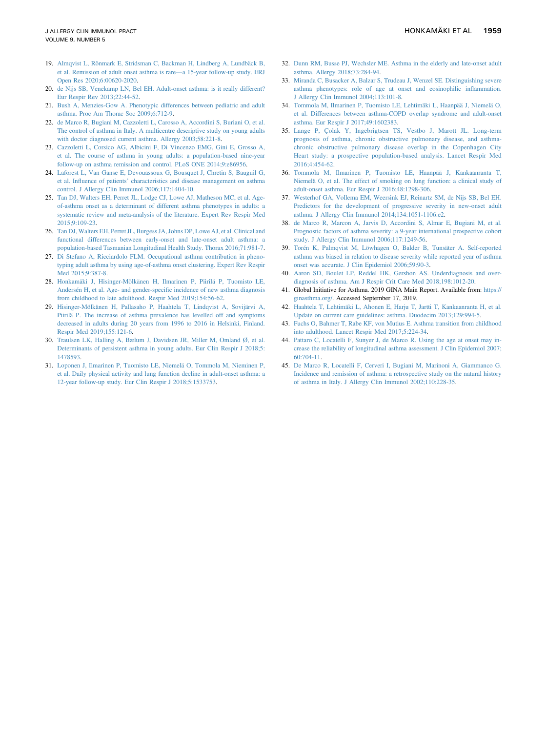- 19. [Almqvist L, Rönmark E, Stridsman C, Backman H, Lindberg A, Lundbäck B,](http://refhub.elsevier.com/S2213-2198(20)31347-7/sref19) [et al. Remission of adult onset asthma is rare](http://refhub.elsevier.com/S2213-2198(20)31347-7/sref19)—a 15-year follow-up study. ERJ [Open Res 2020;6:00620-2020](http://refhub.elsevier.com/S2213-2198(20)31347-7/sref19).
- 20. [de Nijs SB, Venekamp LN, Bel EH. Adult-onset asthma: is it really different?](http://refhub.elsevier.com/S2213-2198(20)31347-7/sref20) [Eur Respir Rev 2013;22:44-52](http://refhub.elsevier.com/S2213-2198(20)31347-7/sref20).
- 21. [Bush A, Menzies-Gow A. Phenotypic differences between pediatric and adult](http://refhub.elsevier.com/S2213-2198(20)31347-7/sref21) [asthma. Proc Am Thorac Soc 2009;6:712-9.](http://refhub.elsevier.com/S2213-2198(20)31347-7/sref21)
- 22. [de Marco R, Bugiani M, Cazzoletti L, Carosso A, Accordini S, Buriani O, et al.](http://refhub.elsevier.com/S2213-2198(20)31347-7/sref22) [The control of asthma in Italy. A multicentre descriptive study on young adults](http://refhub.elsevier.com/S2213-2198(20)31347-7/sref22) [with doctor diagnosed current asthma. Allergy 2003;58:221-8](http://refhub.elsevier.com/S2213-2198(20)31347-7/sref22).
- 23. [Cazzoletti L, Corsico AG, Albicini F, Di Vincenzo EMG, Gini E, Grosso A,](http://refhub.elsevier.com/S2213-2198(20)31347-7/sref23) [et al. The course of asthma in young adults: a population-based nine-year](http://refhub.elsevier.com/S2213-2198(20)31347-7/sref23) [follow-up on asthma remission and control. PLoS ONE 2014;9:e86956](http://refhub.elsevier.com/S2213-2198(20)31347-7/sref23).
- 24. [Laforest L, Van Ganse E, Devouassoux G, Bousquet J, Chretin S, Bauguil G,](http://refhub.elsevier.com/S2213-2198(20)31347-7/sref24) et al. Influence of patients' [characteristics and disease management on asthma](http://refhub.elsevier.com/S2213-2198(20)31347-7/sref24) [control. J Allergy Clin Immunol 2006;117:1404-10.](http://refhub.elsevier.com/S2213-2198(20)31347-7/sref24)
- 25. [Tan DJ, Walters EH, Perret JL, Lodge CJ, Lowe AJ, Matheson MC, et al. Age](http://refhub.elsevier.com/S2213-2198(20)31347-7/sref25)[of-asthma onset as a determinant of different asthma phenotypes in adults: a](http://refhub.elsevier.com/S2213-2198(20)31347-7/sref25) [systematic review and meta-analysis of the literature. Expert Rev Respir Med](http://refhub.elsevier.com/S2213-2198(20)31347-7/sref25) [2015;9:109-23](http://refhub.elsevier.com/S2213-2198(20)31347-7/sref25).
- 26. [Tan DJ, Walters EH, Perret JL, Burgess JA, Johns DP, Lowe AJ, et al. Clinical and](http://refhub.elsevier.com/S2213-2198(20)31347-7/sref26) [functional differences between early-onset and late-onset adult asthma: a](http://refhub.elsevier.com/S2213-2198(20)31347-7/sref26) [population-based Tasmanian Longitudinal Health Study. Thorax 2016;71:981-7.](http://refhub.elsevier.com/S2213-2198(20)31347-7/sref26)
- 27. [Di Stefano A, Ricciardolo FLM. Occupational asthma contribution in pheno](http://refhub.elsevier.com/S2213-2198(20)31347-7/sref27)[typing adult asthma by using age-of-asthma onset clustering. Expert Rev Respir](http://refhub.elsevier.com/S2213-2198(20)31347-7/sref27) [Med 2015;9:387-8.](http://refhub.elsevier.com/S2213-2198(20)31347-7/sref27)
- 28. [Honkamäki J, Hisinger-Mölkänen H, Ilmarinen P, Piirilä P, Tuomisto LE,](http://refhub.elsevier.com/S2213-2198(20)31347-7/sref28) [Andersén H, et al. Age- and gender-speci](http://refhub.elsevier.com/S2213-2198(20)31347-7/sref28)fic incidence of new asthma diagnosis [from childhood to late adulthood. Respir Med 2019;154:56-62.](http://refhub.elsevier.com/S2213-2198(20)31347-7/sref28)
- 29. [Hisinger-Mölkänen H, Pallasaho P, Haahtela T, Lindqvist A, Sovijärvi A,](http://refhub.elsevier.com/S2213-2198(20)31347-7/sref29) [Piirilä P. The increase of asthma prevalence has levelled off and symptoms](http://refhub.elsevier.com/S2213-2198(20)31347-7/sref29) [decreased in adults during 20 years from 1996 to 2016 in Helsinki, Finland.](http://refhub.elsevier.com/S2213-2198(20)31347-7/sref29) [Respir Med 2019;155:121-6](http://refhub.elsevier.com/S2213-2198(20)31347-7/sref29).
- 30. [Traulsen LK, Halling A, Bælum J, Davidsen JR, Miller M, Omland Ø, et al.](http://refhub.elsevier.com/S2213-2198(20)31347-7/sref30) [Determinants of persistent asthma in young adults. Eur Clin Respir J 2018;5:](http://refhub.elsevier.com/S2213-2198(20)31347-7/sref30) [1478593.](http://refhub.elsevier.com/S2213-2198(20)31347-7/sref30)
- 31. [Loponen J, Ilmarinen P, Tuomisto LE, Niemelä O, Tommola M, Nieminen P,](http://refhub.elsevier.com/S2213-2198(20)31347-7/sref31) [et al. Daily physical activity and lung function decline in adult-onset asthma: a](http://refhub.elsevier.com/S2213-2198(20)31347-7/sref31) [12-year follow-up study. Eur Clin Respir J 2018;5:1533753.](http://refhub.elsevier.com/S2213-2198(20)31347-7/sref31)
- 32. [Dunn RM, Busse PJ, Wechsler ME. Asthma in the elderly and late-onset adult](http://refhub.elsevier.com/S2213-2198(20)31347-7/sref32) [asthma. Allergy 2018;73:284-94.](http://refhub.elsevier.com/S2213-2198(20)31347-7/sref32)
- 33. [Miranda C, Busacker A, Balzar S, Trudeau J, Wenzel SE. Distinguishing severe](http://refhub.elsevier.com/S2213-2198(20)31347-7/sref33) [asthma phenotypes: role of age at onset and eosinophilic in](http://refhub.elsevier.com/S2213-2198(20)31347-7/sref33)flammation. [J Allergy Clin Immunol 2004;113:101-8](http://refhub.elsevier.com/S2213-2198(20)31347-7/sref33).
- 34. [Tommola M, Ilmarinen P, Tuomisto LE, Lehtimäki L, Haanpää J, Niemelä O,](http://refhub.elsevier.com/S2213-2198(20)31347-7/sref34) [et al. Differences between asthma-COPD overlap syndrome and adult-onset](http://refhub.elsevier.com/S2213-2198(20)31347-7/sref34) [asthma. Eur Respir J 2017;49:1602383.](http://refhub.elsevier.com/S2213-2198(20)31347-7/sref34)
- 35. [Lange P, Çolak Y, Ingebrigtsen TS, Vestbo J, Marott JL. Long-term](http://refhub.elsevier.com/S2213-2198(20)31347-7/sref35) [prognosis of asthma, chronic obstructive pulmonary disease, and asthma](http://refhub.elsevier.com/S2213-2198(20)31347-7/sref35)[chronic obstructive pulmonary disease overlap in the Copenhagen City](http://refhub.elsevier.com/S2213-2198(20)31347-7/sref35) [Heart study: a prospective population-based analysis. Lancet Respir Med](http://refhub.elsevier.com/S2213-2198(20)31347-7/sref35) [2016;4:454-62](http://refhub.elsevier.com/S2213-2198(20)31347-7/sref35).
- 36. [Tommola M, Ilmarinen P, Tuomisto LE, Haanpää J, Kankaanranta T,](http://refhub.elsevier.com/S2213-2198(20)31347-7/sref36) [Niemelä O, et al. The effect of smoking on lung function: a clinical study of](http://refhub.elsevier.com/S2213-2198(20)31347-7/sref36) [adult-onset asthma. Eur Respir J 2016;48:1298-306.](http://refhub.elsevier.com/S2213-2198(20)31347-7/sref36)
- 37. [Westerhof GA, Vollema EM, Weersink EJ, Reinartz SM, de Nijs SB, Bel EH.](http://refhub.elsevier.com/S2213-2198(20)31347-7/sref37) [Predictors for the development of progressive severity in new-onset adult](http://refhub.elsevier.com/S2213-2198(20)31347-7/sref37) [asthma. J Allergy Clin Immunol 2014;134:1051-1106.e2.](http://refhub.elsevier.com/S2213-2198(20)31347-7/sref37)
- 38. [de Marco R, Marcon A, Jarvis D, Accordini S, Almar E, Bugiani M, et al.](http://refhub.elsevier.com/S2213-2198(20)31347-7/sref38) [Prognostic factors of asthma severity: a 9-year international prospective cohort](http://refhub.elsevier.com/S2213-2198(20)31347-7/sref38) [study. J Allergy Clin Immunol 2006;117:1249-56](http://refhub.elsevier.com/S2213-2198(20)31347-7/sref38).
- 39. [Torén K, Palmqvist M, Löwhagen O, Balder B, Tunsäter A. Self-reported](http://refhub.elsevier.com/S2213-2198(20)31347-7/sref39) [asthma was biased in relation to disease severity while reported year of asthma](http://refhub.elsevier.com/S2213-2198(20)31347-7/sref39) [onset was accurate. J Clin Epidemiol 2006;59:90-3](http://refhub.elsevier.com/S2213-2198(20)31347-7/sref39).
- 40. [Aaron SD, Boulet LP, Reddel HK, Gershon AS. Underdiagnosis and over](http://refhub.elsevier.com/S2213-2198(20)31347-7/sref40)[diagnosis of asthma. Am J Respir Crit Care Med 2018;198:1012-20](http://refhub.elsevier.com/S2213-2198(20)31347-7/sref40).
- 41. Global Initiative for Asthma. 2019 GINA Main Report. Available from: [https://](https://ginasthma.org/) [ginasthma.org/.](https://ginasthma.org/) Accessed September 17, 2019.
- 42. [Haahtela T, Lehtimäki L, Ahonen E, Harju T, Jartti T, Kankaanranta H, et al.](http://refhub.elsevier.com/S2213-2198(20)31347-7/sref42) [Update on current care guidelines: asthma. Duodecim 2013;129:994-5](http://refhub.elsevier.com/S2213-2198(20)31347-7/sref42).
- 43. [Fuchs O, Bahmer T, Rabe KF, von Mutius E. Asthma transition from childhood](http://refhub.elsevier.com/S2213-2198(20)31347-7/sref43) [into adulthood. Lancet Respir Med 2017;5:224-34.](http://refhub.elsevier.com/S2213-2198(20)31347-7/sref43)
- 44. [Pattaro C, Locatelli F, Sunyer J, de Marco R. Using the age at onset may in](http://refhub.elsevier.com/S2213-2198(20)31347-7/sref44)[crease the reliability of longitudinal asthma assessment. J Clin Epidemiol 2007;](http://refhub.elsevier.com/S2213-2198(20)31347-7/sref44) [60:704-11.](http://refhub.elsevier.com/S2213-2198(20)31347-7/sref44)
- 45. [De Marco R, Locatelli F, Cerveri I, Bugiani M, Marinoni A, Giammanco G.](http://refhub.elsevier.com/S2213-2198(20)31347-7/sref45) [Incidence and remission of asthma: a retrospective study on the natural history](http://refhub.elsevier.com/S2213-2198(20)31347-7/sref45) [of asthma in Italy. J Allergy Clin Immunol 2002;110:228-35.](http://refhub.elsevier.com/S2213-2198(20)31347-7/sref45)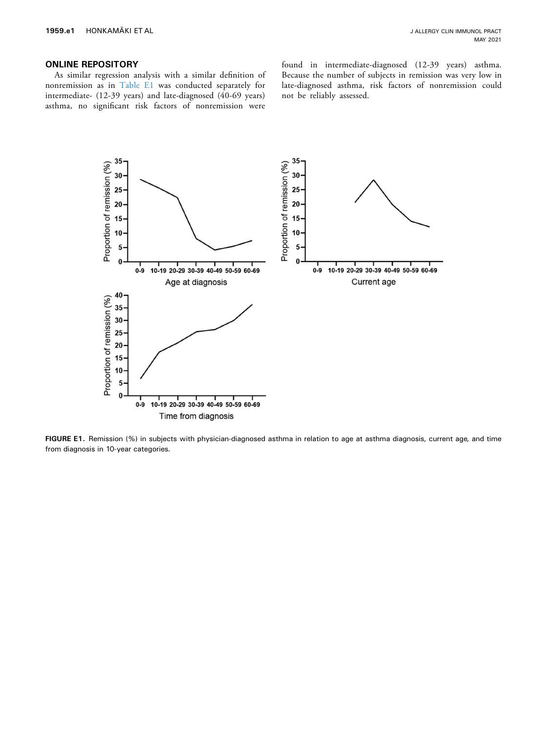#### ONLINE REPOSITORY

As similar regression analysis with a similar definition of nonremission as in Table E1 was conducted separately for intermediate- (12-39 years) and late-diagnosed (40-69 years) asthma, no significant risk factors of nonremission were found in intermediate-diagnosed (12-39 years) asthma. Because the number of subjects in remission was very low in late-diagnosed asthma, risk factors of nonremission could not be reliably assessed.



FIGURE E1. Remission (%) in subjects with physician-diagnosed asthma in relation to age at asthma diagnosis, current age, and time from diagnosis in 10-year categories.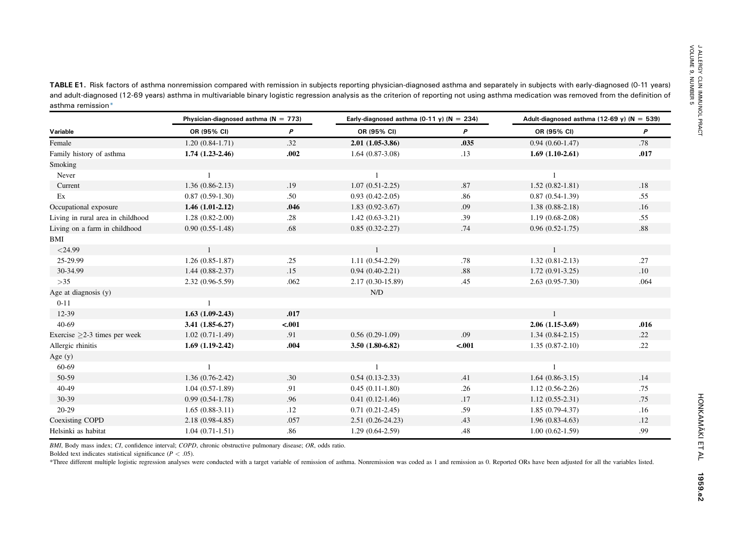| TABLE E1. Risk factors of asthma nonremission compared with remission in subjects reporting physician-diagnosed asthma and separately in subjects with early-diagnosed (0-11 years)        |
|--------------------------------------------------------------------------------------------------------------------------------------------------------------------------------------------|
| and adult-diagnosed (12-69 years) asthma in multivariable binary logistic regression analysis as the criterion of reporting not using asthma medication was removed from the definition of |
| asthma remission*                                                                                                                                                                          |

|                                    | Physician-diagnosed asthma ( $N = 773$ ) |         | Early-diagnosed asthma (0-11 y) ( $N = 234$ ) |         | Adult-diagnosed asthma (12-69 y) ( $N = 539$ ) |      |
|------------------------------------|------------------------------------------|---------|-----------------------------------------------|---------|------------------------------------------------|------|
| Variable                           | OR (95% CI)                              | P       | OR (95% CI)                                   | P       | OR (95% CI)                                    | P    |
| Female                             | $1.20(0.84-1.71)$                        | .32     | $2.01(1.05-3.86)$                             | .035    | $0.94(0.60-1.47)$                              | .78  |
| Family history of asthma           | $1.74(1.23-2.46)$                        | .002    | $1.64(0.87-3.08)$                             | .13     | $1.69(1.10-2.61)$                              | .017 |
| Smoking                            |                                          |         |                                               |         |                                                |      |
| Never                              |                                          |         |                                               |         |                                                |      |
| Current                            | $1.36(0.86-2.13)$                        | .19     | $1.07(0.51 - 2.25)$                           | .87     | $1.52(0.82 - 1.81)$                            | .18  |
| Ex                                 | $0.87(0.59-1.30)$                        | .50     | $0.93(0.42 - 2.05)$                           | .86     | $0.87(0.54-1.39)$                              | .55  |
| Occupational exposure              | $1.46(1.01-2.12)$                        | .046    | $1.83(0.92 - 3.67)$                           | .09     | $1.38(0.88-2.18)$                              | .16  |
| Living in rural area in childhood  | $1.28(0.82 - 2.00)$                      | $.28\,$ | $1.42(0.63-3.21)$                             | .39     | $1.19(0.68-2.08)$                              | .55  |
| Living on a farm in childhood      | $0.90(0.55-1.48)$                        | .68     | $0.85(0.32-2.27)$                             | .74     | $0.96(0.52-1.75)$                              | .88  |
| BMI                                |                                          |         |                                               |         |                                                |      |
| $<$ 24.99                          |                                          |         |                                               |         | $\overline{1}$                                 |      |
| 25-29.99                           | $1.26(0.85-1.87)$                        | .25     | $1.11(0.54-2.29)$                             | .78     | $1.32(0.81 - 2.13)$                            | .27  |
| 30-34.99                           | $1.44(0.88-2.37)$                        | .15     | $0.94(0.40-2.21)$                             | .88     | $1.72(0.91 - 3.25)$                            | .10  |
| $>35$                              | $2.32(0.96-5.59)$                        | .062    | 2.17 (0.30-15.89)                             | .45     | $2.63(0.95 - 7.30)$                            | .064 |
| Age at diagnosis $(y)$             |                                          |         | N/D                                           |         |                                                |      |
| $0 - 11$                           |                                          |         |                                               |         |                                                |      |
| 12-39                              | $1.63(1.09-2.43)$                        | .017    |                                               |         | $\mathbf{1}$                                   |      |
| $40 - 69$                          | $3.41(1.85-6.27)$                        | $-.001$ |                                               |         | $2.06(1.15-3.69)$                              | .016 |
| Exercise $\geq$ 2-3 times per week | $1.02(0.71-1.49)$                        | .91     | $0.56(0.29-1.09)$                             | .09     | $1.34(0.84-2.15)$                              | .22  |
| Allergic rhinitis                  | $1.69(1.19-2.42)$                        | .004    | $3.50(1.80-6.82)$                             | $-.001$ | $1.35(0.87-2.10)$                              | .22  |
| Age $(y)$                          |                                          |         |                                               |         |                                                |      |
| 60-69                              |                                          |         |                                               |         |                                                |      |
| 50-59                              | $1.36(0.76-2.42)$                        | .30     | $0.54(0.13-2.33)$                             | .41     | $1.64(0.86-3.15)$                              | .14  |
| 40-49                              | $1.04(0.57-1.89)$                        | .91     | $0.45(0.11-1.80)$                             | .26     | $1.12(0.56-2.26)$                              | .75  |
| 30-39                              | $0.99(0.54-1.78)$                        | .96     | $0.41(0.12-1.46)$                             | .17     | $1.12(0.55-2.31)$                              | .75  |
| 20-29                              | $1.65(0.88-3.11)$                        | .12     | $0.71(0.21-2.45)$                             | .59     | $1.85(0.79-4.37)$                              | .16  |
| Coexisting COPD                    | $2.18(0.98-4.85)$                        | .057    | $2.51(0.26-24.23)$                            | .43     | $1.96(0.83-4.63)$                              | .12  |
| Helsinki as habitat                | $1.04(0.71-1.51)$                        | .86     | $1.29(0.64-2.59)$                             | .48     | $1.00(0.62 - 1.59)$                            | .99  |

BMI, Body mass index; CI, confidence interval; COPD, chronic obstructive pulmonary disease; OR, odds ratio.

Bolded text indicates statistical significance ( $P < .05$ ).

\*Three different multiple logistic regression analyses were conducted with a target variable of remission of asthma. Nonremission was coded as 1 and remission as 0. Reported ORs have been adjusted for all the variables lis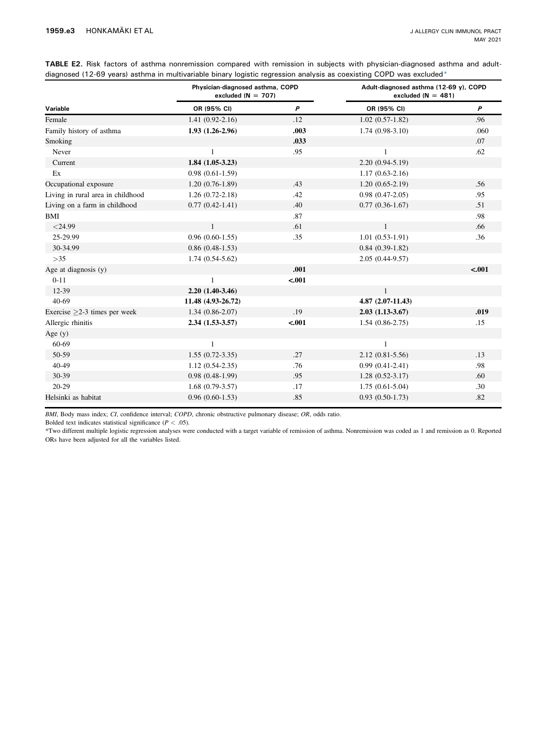|                                    | Physician-diagnosed asthma, COPD<br>excluded ( $N = 707$ ) |         | Adult-diagnosed asthma (12-69 y), COPD<br>excluded ( $N = 481$ ) |         |  |
|------------------------------------|------------------------------------------------------------|---------|------------------------------------------------------------------|---------|--|
| Variable                           | OR (95% CI)                                                | P       | OR (95% CI)                                                      | P       |  |
| Female                             | $1.41(0.92 - 2.16)$                                        | .12     | $1.02(0.57-1.82)$                                                | .96     |  |
| Family history of asthma           | $1.93(1.26-2.96)$                                          | .003    | $1.74(0.98-3.10)$                                                | .060    |  |
| Smoking                            |                                                            | .033    |                                                                  | .07     |  |
| Never                              | $\mathbf{1}$                                               | .95     | $\mathbf{1}$                                                     | .62     |  |
| Current                            | $1.84(1.05-3.23)$                                          |         | $2.20(0.94-5.19)$                                                |         |  |
| Ex                                 | $0.98(0.61-1.59)$                                          |         | $1.17(0.63 - 2.16)$                                              |         |  |
| Occupational exposure              | $1.20(0.76-1.89)$                                          | .43     | $1.20(0.65-2.19)$                                                | .56     |  |
| Living in rural area in childhood  | $1.26(0.72-2.18)$                                          | .42     | $0.98(0.47-2.05)$                                                | .95     |  |
| Living on a farm in childhood      | $0.77(0.42 - 1.41)$                                        | .40     | $0.77(0.36-1.67)$                                                | .51     |  |
| BMI                                |                                                            | .87     |                                                                  | .98     |  |
| $<$ 24.99                          | $\mathbf{1}$                                               | .61     | $\mathbf{1}$                                                     | .66     |  |
| 25-29.99                           | $0.96(0.60-1.55)$                                          | .35     | $1.01(0.53-1.91)$                                                | .36     |  |
| 30-34.99                           | $0.86(0.48-1.53)$                                          |         | $0.84(0.39-1.82)$                                                |         |  |
| >35                                | $1.74(0.54-5.62)$                                          |         | $2.05(0.44-9.57)$                                                |         |  |
| Age at diagnosis (y)               |                                                            | .001    |                                                                  | $-.001$ |  |
| $0 - 11$                           | 1                                                          | $-.001$ |                                                                  |         |  |
| 12-39                              | $2.20(1.40-3.46)$                                          |         | $\mathbf{1}$                                                     |         |  |
| $40-69$                            | 11.48 (4.93-26.72)                                         |         | $4.87(2.07-11.43)$                                               |         |  |
| Exercise $\geq$ 2-3 times per week | $1.34(0.86-2.07)$                                          | .19     | $2.03(1.13-3.67)$                                                | .019    |  |
| Allergic rhinitis                  | $2.34(1.53-3.57)$                                          | $-.001$ | $1.54(0.86-2.75)$                                                | .15     |  |
| Age $(y)$                          |                                                            |         |                                                                  |         |  |
| 60-69                              | 1                                                          |         | $\mathbf{1}$                                                     |         |  |
| 50-59                              | $1.55(0.72-3.35)$                                          | .27     | $2.12(0.81 - 5.56)$                                              | .13     |  |
| $40 - 49$                          | $1.12(0.54-2.35)$                                          | .76     | $0.99(0.41-2.41)$                                                | .98     |  |
| 30-39                              | $0.98(0.48-1.99)$                                          | .95     | $1.28(0.52 - 3.17)$                                              | .60     |  |
| $20-29$                            | $1.68(0.79-3.57)$                                          | .17     | $1.75(0.61-5.04)$                                                | .30     |  |
| Helsinki as habitat                | $0.96(0.60-1.53)$                                          | .85     | $0.93(0.50-1.73)$                                                | .82     |  |

TABLE E2. Risk factors of asthma nonremission compared with remission in subjects with physician-diagnosed asthma and adultdiagnosed (12-69 years) asthma in multivariable binary logistic regression analysis as coexisting COPD was excluded\*

BMI, Body mass index; CI, confidence interval; COPD, chronic obstructive pulmonary disease; OR, odds ratio.

Bolded text indicates statistical significance ( $P < .05$ ).

\*Two different multiple logistic regression analyses were conducted with a target variable of remission of asthma. Nonremission was coded as 1 and remission as 0. Reported ORs have been adjusted for all the variables listed.